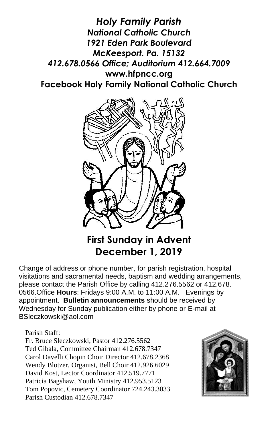*Holy Family Parish National Catholic Church 1921 Eden Park Boulevard McKeesport. Pa. 15132 412.678.0566 Office; Auditorium 412.664.7009* **[www.hfpncc.org](http://www.hfpncc.org/) Facebook Holy Family National Catholic Church**



# **First Sunday in Advent December 1, 2019**

Change of address or phone number, for parish registration, hospital visitations and sacramental needs, baptism and wedding arrangements, please contact the Parish Office by calling 412.276.5562 or 412.678. 0566.Office **Hours**: Fridays 9:00 A.M. to 11:00 A.M. Evenings by appointment. **Bulletin announcements** should be received by Wednesday for Sunday publication either by phone or E-mail at [BSleczkowski@aol.com](mailto:BSleczkowski@aol.com)

#### Parish Staff:

Fr. Bruce Sleczkowski, Pastor 412.276.5562 Ted Gibala, Committee Chairman 412.678.7347 Carol Davelli Chopin Choir Director 412.678.2368 Wendy Blotzer, Organist, Bell Choir 412.926.6029 David Kost, Lector Coordinator 412.519.7771 Patricia Bagshaw, Youth Ministry 412.953.5123 Tom Popovic, Cemetery Coordinator 724.243.3033 Parish Custodian 412.678.7347

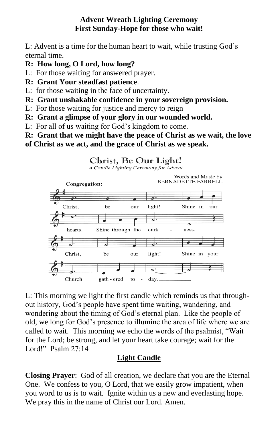#### **Advent Wreath Lighting Ceremony First Sunday-Hope for those who wait!**

L: Advent is a time for the human heart to wait, while trusting God's eternal time.

- **R: How long, O Lord, how long?**
- L: For those waiting for answered prayer.
- **R: Grant Your steadfast patience**.
- L: for those waiting in the face of uncertainty.
- **R: Grant unshakable confidence in your sovereign provision.**
- L: For those waiting for justice and mercy to reign
- **R: Grant a glimpse of your glory in our wounded world.**
- L: For all of us waiting for God's kingdom to come.
- **R: Grant that we might have the peace of Christ as we wait, the love of Christ as we act, and the grace of Christ as we speak.**
	- Christ, Be Our Light!





L: This morning we light the first candle which reminds us that throughout history, God's people have spent time waiting, wandering, and wondering about the timing of God's eternal plan. Like the people of old, we long for God's presence to illumine the area of life where we are called to wait. This morning we echo the words of the psalmist, "Wait for the Lord; be strong, and let your heart take courage; wait for the Lord!" Psalm 27:14

#### **Light Candle**

**Closing Prayer**: God of all creation, we declare that you are the Eternal One. We confess to you, O Lord, that we easily grow impatient, when you word to us is to wait. Ignite within us a new and everlasting hope. We pray this in the name of Christ our Lord. Amen.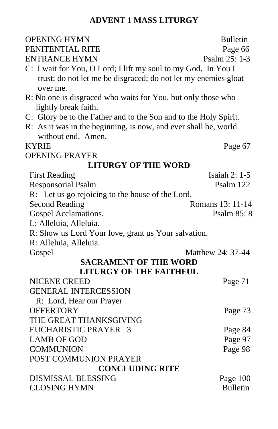## **ADVENT 1 MASS LITURGY**

| <b>OPENING HYMN</b>                                              | <b>Bulletin</b>      |
|------------------------------------------------------------------|----------------------|
| PENITENTIAL RITE                                                 | Page 66              |
| <b>ENTRANCE HYMN</b>                                             | Psalm 25: 1-3        |
| C: I wait for You, O Lord; I lift my soul to my God. In You I    |                      |
| trust; do not let me be disgraced; do not let my enemies gloat   |                      |
| over me.                                                         |                      |
| R: No one is disgraced who waits for You, but only those who     |                      |
| lightly break faith.                                             |                      |
| C: Glory be to the Father and to the Son and to the Holy Spirit. |                      |
| R: As it was in the beginning, is now, and ever shall be, world  |                      |
| without end. Amen.                                               |                      |
| <b>KYRIE</b>                                                     | Page 67              |
| <b>OPENING PRAYER</b>                                            |                      |
| <b>LITURGY OF THE WORD</b>                                       |                      |
| <b>First Reading</b>                                             | <b>Isaiah 2: 1-5</b> |
| <b>Responsorial Psalm</b>                                        | Psalm 122            |
| R: Let us go rejoicing to the house of the Lord.                 |                      |
| <b>Second Reading</b>                                            | Romans 13: 11-14     |
| Gospel Acclamations.                                             | Psalm 85: 8          |
| L: Alleluia, Alleluia.                                           |                      |
| R: Show us Lord Your love, grant us Your salvation.              |                      |
| R: Alleluia, Alleluia.                                           |                      |
| Gospel                                                           | Matthew 24: 37-44    |
| <b>SACRAMENT OF THE WORD</b>                                     |                      |
| <b>LITURGY OF THE FAITHFUL</b>                                   |                      |
| <b>NICENE CREED</b>                                              | Page 71              |
| <b>GENERAL INTERCESSION</b>                                      |                      |
| R: Lord, Hear our Prayer                                         |                      |
| <b>OFFERTORY</b>                                                 | Page 73              |
| THE GREAT THANKSGIVING                                           |                      |
| EUCHARISTIC PRAYER 3                                             | Page 84              |
| <b>LAMB OF GOD</b>                                               | Page 97              |
| <b>COMMUNION</b>                                                 | Page 98              |
| POST COMMUNION PRAYER                                            |                      |
| <b>CONCLUDING RITE</b>                                           |                      |
| <b>DISMISSAL BLESSING</b>                                        | Page 100             |
| <b>CLOSING HYMN</b>                                              | <b>Bulletin</b>      |
|                                                                  |                      |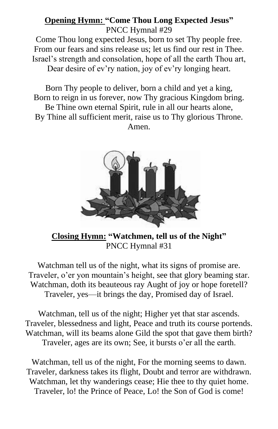#### **Opening Hymn: "Come Thou Long Expected Jesus"**  PNCC Hymnal #29

Come Thou long expected Jesus, born to set Thy people free. From our fears and sins release us; let us find our rest in Thee. Israel's strength and consolation, hope of all the earth Thou art,

Dear desire of ev'ry nation, joy of ev'ry longing heart.

Born Thy people to deliver, born a child and yet a king, Born to reign in us forever, now Thy gracious Kingdom bring. Be Thine own eternal Spirit, rule in all our hearts alone, By Thine all sufficient merit, raise us to Thy glorious Throne. Amen.



**Closing Hymn: "Watchmen, tell us of the Night"** PNCC Hymnal #31

Watchman tell us of the night, what its signs of promise are. Traveler, o'er yon mountain's height, see that glory beaming star. Watchman, doth its beauteous ray Aught of joy or hope foretell? Traveler, yes—it brings the day, Promised day of Israel.

Watchman, tell us of the night; Higher yet that star ascends. Traveler, blessedness and light, Peace and truth its course portends. Watchman, will its beams alone Gild the spot that gave them birth? Traveler, ages are its own; See, it bursts o'er all the earth.

Watchman, tell us of the night, For the morning seems to dawn. Traveler, darkness takes its flight, Doubt and terror are withdrawn. Watchman, let thy wanderings cease; Hie thee to thy quiet home. Traveler, lo! the Prince of Peace, Lo! the Son of God is come!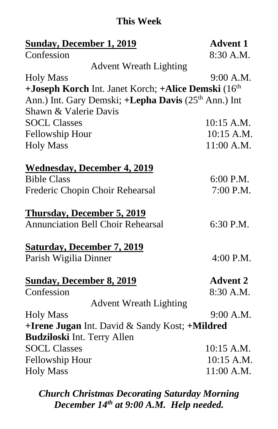## **This Week**

| <b>Sunday, December 1, 2019</b>                                          | <b>Advent 1</b> |
|--------------------------------------------------------------------------|-----------------|
| Confession                                                               | 8:30 A.M.       |
| <b>Advent Wreath Lighting</b>                                            |                 |
| <b>Holy Mass</b>                                                         | 9:00 A.M.       |
| +Joseph Korch Int. Janet Korch; +Alice Demski (16 <sup>th</sup> )        |                 |
| Ann.) Int. Gary Demski; + <b>Lepha Davis</b> (25 <sup>th</sup> Ann.) Int |                 |
| Shawn & Valerie Davis                                                    |                 |
| <b>SOCL Classes</b>                                                      | 10:15 A.M.      |
| <b>Fellowship Hour</b>                                                   | 10:15 A.M.      |
| <b>Holy Mass</b>                                                         | 11:00 A.M.      |
| <b>Wednesday, December 4, 2019</b>                                       |                 |
| <b>Bible Class</b>                                                       | 6:00 P.M.       |
| Frederic Chopin Choir Rehearsal                                          | 7:00 P.M.       |
| <b>Thursday, December 5, 2019</b>                                        |                 |
| <b>Annunciation Bell Choir Rehearsal</b>                                 | 6:30 P.M.       |
| <b>Saturday, December 7, 2019</b>                                        |                 |
| Parish Wigilia Dinner                                                    | 4:00 P.M.       |
| <b>Sunday, December 8, 2019</b>                                          | <b>Advent 2</b> |
| Confession                                                               | 8:30 A.M.       |
| <b>Advent Wreath Lighting</b>                                            |                 |
| <b>Holy Mass</b>                                                         | 9:00 A.M.       |
| +Irene Jugan Int. David & Sandy Kost; +Mildred                           |                 |
| <b>Budziloski Int. Terry Allen</b>                                       |                 |
| <b>SOCL Classes</b>                                                      | 10:15 A.M.      |
| <b>Fellowship Hour</b>                                                   | 10:15 A.M.      |
| <b>Holy Mass</b>                                                         | 11:00 A.M.      |
|                                                                          |                 |

*Church Christmas Decorating Saturday Morning December 14th at 9:00 A.M. Help needed.*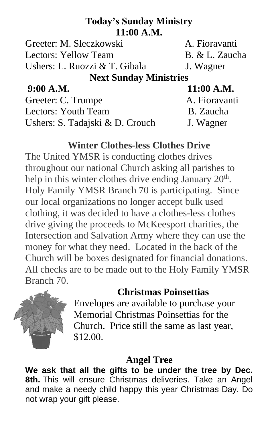# **Today's Sunday Ministry 11:00 A.M.**

Greeter: M. Sleczkowski A. Fioravanti Lectors: Yellow Team B. & L. Zaucha Ushers: L. Ruozzi & T. Gibala J. Wagner

## **Next Sunday Ministries**

**9:00 A.M. 11:00 A.M.**

Greeter: C. Trumpe A. Fioravanti Lectors: Youth Team B. Zaucha Ushers: S. Tadajski & D. Crouch J. Wagner

# **Winter Clothes-less Clothes Drive**

The United YMSR is conducting clothes drives throughout our national Church asking all parishes to help in this winter clothes drive ending January  $20<sup>th</sup>$ . Holy Family YMSR Branch 70 is participating. Since our local organizations no longer accept bulk used clothing, it was decided to have a clothes-less clothes drive giving the proceeds to McKeesport charities, the Intersection and Salvation Army where they can use the money for what they need. Located in the back of the Church will be boxes designated for financial donations. All checks are to be made out to the Holy Family YMSR Branch 70.

## **Christmas Poinsettias**



Envelopes are available to purchase your Memorial Christmas Poinsettias for the Church. Price still the same as last year, \$12.00.

## **Angel Tree**

**We ask that all the gifts to be under the tree by Dec. 8th.** This will ensure Christmas deliveries. Take an Angel and make a needy child happy this year Christmas Day. Do not wrap your gift please.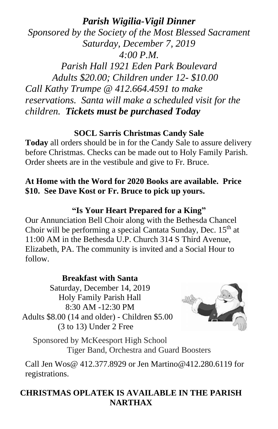## *Parish Wigilia-Vigil Dinner*

*Sponsored by the Society of the Most Blessed Sacrament Saturday, December 7, 2019 4:00 P.M. Parish Hall 1921 Eden Park Boulevard*

 *Adults \$20.00; Children under 12- \$10.00 Call Kathy Trumpe @ 412.664.4591 to make reservations. Santa will make a scheduled visit for the children. Tickets must be purchased Today*

#### **SOCL Sarris Christmas Candy Sale**

**Today** all orders should be in for the Candy Sale to assure delivery before Christmas. Checks can be made out to Holy Family Parish. Order sheets are in the vestibule and give to Fr. Bruce.

#### **At Home with the Word for 2020 Books are available. Price \$10. See Dave Kost or Fr. Bruce to pick up yours.**

#### **"Is Your Heart Prepared for a King"**

Our Annunciation Bell Choir along with the Bethesda Chancel Choir will be performing a special Cantata Sunday, Dec.  $15<sup>th</sup>$  at 11:00 AM in the Bethesda U.P. Church 314 S Third Avenue, Elizabeth, PA. The community is invited and a Social Hour to follow.

#### **Breakfast with Santa** Saturday, December 14, 2019 Holy Family Parish Hall 8:30 AM -12:30 PM Adults \$8.00 (14 and older) - Children \$5.00 (3 to 13) Under 2 Free



Sponsored by McKeesport High School Tiger Band, Orchestra and Guard Boosters

Call Jen Wos@ 412.377.8929 or Jen [Martino@412.280.6119](mailto:Martino@412.280.6119) for registrations.

### **CHRISTMAS OPLATEK IS AVAILABLE IN THE PARISH NARTHAX**